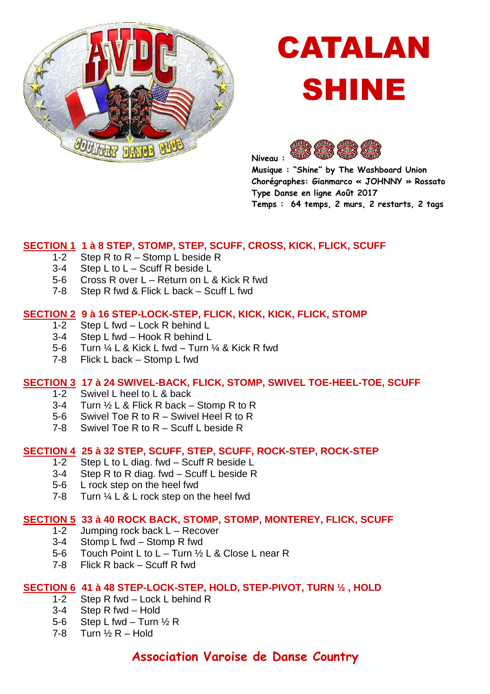

# CATALAN SHINE



**Musique : "Shine" by The Washboard Union Chorégraphes: Gianmarco « JOHNNY » Rossato Type Danse en ligne Août 2017 Temps : 64 temps, 2 murs, 2 restarts, 2 tags** 

# **SECTION 1 1 à 8 STEP, STOMP, STEP, SCUFF, CROSS, KICK, FLICK, SCUFF**

- 1-2 Step R to R Stomp L beside R
- 3-4 Step L to L Scuff R beside L
- 5-6 Cross R over L Return on L & Kick R fwd
- 7-8 Step R fwd & Flick L back Scuff L fwd

# **SECTION 2 9 à 16 STEP-LOCK-STEP, FLICK, KICK, KICK, FLICK, STOMP**

- 1-2 Step L fwd Lock R behind L
- 3-4 Step L fwd Hook R behind L
- 5-6 Turn  $\frac{1}{4}$  L & Kick L fwd Turn  $\frac{1}{4}$  & Kick R fwd
- 7-8 Flick L back Stomp L fwd

# **SECTION 3 17 à 24 SWIVEL-BACK, FLICK, STOMP, SWIVEL TOE-HEEL-TOE, SCUFF**

- 1-2 Swivel L heel to L & back
- 3-4 Turn  $\frac{1}{2}$  L & Flick R back Stomp R to R
- 5-6 Swivel Toe R to R Swivel Heel R to R
- 7-8 Swivel Toe R to R Scuff L beside R

#### **SECTION 4 25 à 32 STEP, SCUFF, STEP, SCUFF, ROCK-STEP, ROCK-STEP**

- 1-2 Step L to L diag. fwd Scuff R beside L
- 3-4 Step R to R diag. fwd Scuff L beside R
- 5-6 L rock step on the heel fwd
- 7-8 Turn  $\frac{1}{4}$  L & L rock step on the heel fwd

#### **SECTION 5 33 à 40 ROCK BACK, STOMP, STOMP, MONTEREY, FLICK, SCUFF**

- 1-2 Jumping rock back L Recover
- 3-4 Stomp L fwd Stomp R fwd
- 5-6 Touch Point L to L Turn ½ L & Close L near R
- 7-8 Flick R back Scuff R fwd

# **SECTION 6 41 à 48 STEP-LOCK-STEP, HOLD, STEP-PIVOT, TURN ½ , HOLD**

- 1-2 Step R fwd Lock L behind R
- 3-4 Step R fwd Hold
- 5-6 Step L fwd Turn  $\frac{1}{2}$  R
- 7-8 Turn  $\frac{1}{2}$  R Hold

# **Association Varoise de Danse Country**